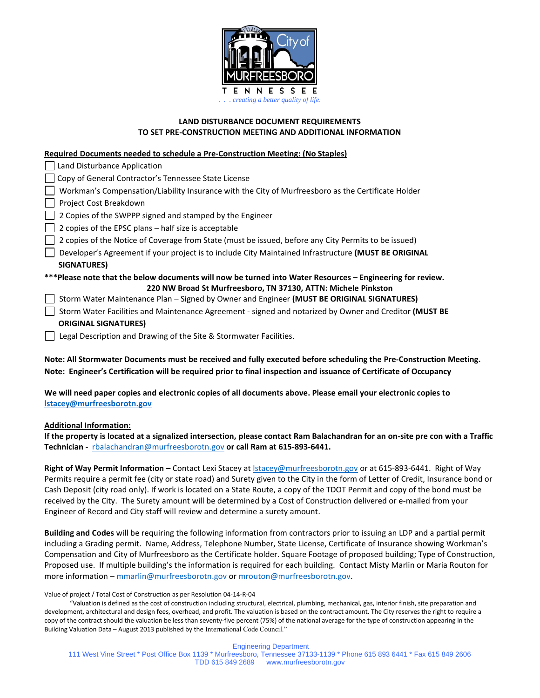

## **LAND DISTURBANCE DOCUMENT REQUIREMENTS TO SET PRE-CONSTRUCTION MEETING AND ADDITIONAL INFORMATION**

### **Required Documents needed to schedule a Pre-Construction Meeting: (No Staples)**

| Land Disturbance Application                                                                                                                                                |
|-----------------------------------------------------------------------------------------------------------------------------------------------------------------------------|
| Copy of General Contractor's Tennessee State License                                                                                                                        |
| Workman's Compensation/Liability Insurance with the City of Murfreesboro as the Certificate Holder                                                                          |
| Project Cost Breakdown                                                                                                                                                      |
| 2 Copies of the SWPPP signed and stamped by the Engineer                                                                                                                    |
| 2 copies of the EPSC plans – half size is acceptable                                                                                                                        |
| 2 copies of the Notice of Coverage from State (must be issued, before any City Permits to be issued)                                                                        |
| Developer's Agreement if your project is to include City Maintained Infrastructure (MUST BE ORIGINAL                                                                        |
| SIGNATURES)                                                                                                                                                                 |
| ***Please note that the below documents will now be turned into Water Resources - Engineering for review.<br>220 NW Broad St Murfreesboro, TN 37130, ATTN: Michele Pinkston |
| Storm Water Maintenance Plan - Signed by Owner and Engineer (MUST BE ORIGINAL SIGNATURES)                                                                                   |
| Storm Water Facilities and Maintenance Agreement - signed and notarized by Owner and Creditor (MUST BE                                                                      |
| <b>ORIGINAL SIGNATURES)</b>                                                                                                                                                 |
| Legal Description and Drawing of the Site & Stormwater Facilities.                                                                                                          |

**Note: All Stormwater Documents must be received and fully executed before scheduling the Pre-Construction Meeting. Note: Engineer's Certification will be required prior to final inspection and issuance of Certificate of Occupancy** 

**We will need paper copies and electronic copies of all documents above. Please email your electronic copies to [lstacey@murfreesborotn.gov](mailto:lstacey@murfreesborotn.gov)**

#### **Additional Information:**

**If the property is located at a signalized intersection, please contact Ram Balachandran for an on-site pre con with a Traffic Technician -** [rbalachandran@murfreesborotn.gov](mailto:rbalachandran@murfreesborotn.gov) **or call Ram at 615-893-6441.**

**Right of Way Permit Information –** Contact Lexi Stacey a[t lstacey@murfreesborotn.gov](mailto:lstacey@murfreesborotn.gov) or at 615-893-6441. Right of Way Permits require a permit fee (city or state road) and Surety given to the City in the form of Letter of Credit, Insurance bond or Cash Deposit (city road only). If work is located on a State Route, a copy of the TDOT Permit and copy of the bond must be received by the City. The Surety amount will be determined by a Cost of Construction delivered or e-mailed from your Engineer of Record and City staff will review and determine a surety amount.

**Building and Codes** will be requiring the following information from contractors prior to issuing an LDP and a partial permit including a Grading permit. Name, Address, Telephone Number, State License, Certificate of Insurance showing Workman's Compensation and City of Murfreesboro as the Certificate holder. Square Footage of proposed building; Type of Construction, Proposed use. If multiple building's the information is required for each building. Contact Misty Marlin or Maria Routon for more information – [mmarlin@murfreesborotn.gov](mailto:mmarlin@murfreesborotn.gov) o[r mrouton@murfreesborotn.gov.](mailto:mrouton@murfreesborotn.gov)

Value of project / Total Cost of Construction as per Resolution 04-14-R-04

 "Valuation is defined as the cost of construction including structural, electrical, plumbing, mechanical, gas, interior finish, site preparation and development, architectural and design fees, overhead, and profit. The valuation is based on the contract amount. The City reserves the right to require a copy of the contract should the valuation be less than seventy-five percent (75%) of the national average for the type of construction appearing in the Building Valuation Data – August 2013 published by the International Code Council."

Engineering Department 111 West Vine Street \* Post Office Box 1139 \* Murfreesboro, Tennessee 37133-1139 \* Phone 615 893 6441 \* Fax 615 849 2606 TDD 615 849 2689 www.murfreesborotn.gov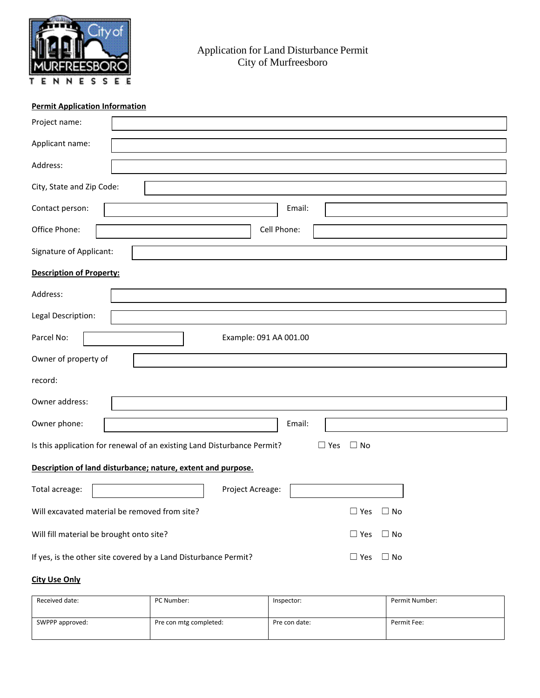

# **Permit Application Information**

| Project name:                                                                                      |                                                                                            |  |  |  |  |
|----------------------------------------------------------------------------------------------------|--------------------------------------------------------------------------------------------|--|--|--|--|
| Applicant name:                                                                                    |                                                                                            |  |  |  |  |
| Address:                                                                                           |                                                                                            |  |  |  |  |
| City, State and Zip Code:                                                                          |                                                                                            |  |  |  |  |
| Contact person:                                                                                    | Email:                                                                                     |  |  |  |  |
| Office Phone:                                                                                      | Cell Phone:                                                                                |  |  |  |  |
| Signature of Applicant:                                                                            |                                                                                            |  |  |  |  |
| <b>Description of Property:</b>                                                                    |                                                                                            |  |  |  |  |
| Address:                                                                                           |                                                                                            |  |  |  |  |
| Legal Description:                                                                                 |                                                                                            |  |  |  |  |
| Parcel No:                                                                                         | Example: 091 AA 001.00                                                                     |  |  |  |  |
| Owner of property of                                                                               |                                                                                            |  |  |  |  |
| record:                                                                                            |                                                                                            |  |  |  |  |
| Owner address:                                                                                     |                                                                                            |  |  |  |  |
| Owner phone:                                                                                       | Email:                                                                                     |  |  |  |  |
| Is this application for renewal of an existing Land Disturbance Permit?<br>$\Box$ Yes<br>$\Box$ No |                                                                                            |  |  |  |  |
|                                                                                                    | Description of land disturbance; nature, extent and purpose.                               |  |  |  |  |
| Total acreage:                                                                                     | Project Acreage:                                                                           |  |  |  |  |
|                                                                                                    | Will excavated material be removed from site?<br>$\Box$ Yes<br>$\Box$ No                   |  |  |  |  |
| Will fill material be brought onto site?                                                           | $\Box$ Yes<br>$\Box$ No                                                                    |  |  |  |  |
|                                                                                                    | If yes, is the other site covered by a Land Disturbance Permit?<br>$\Box$ No<br>$\Box$ Yes |  |  |  |  |

# **City Use Only**

| Received date:  | PC Number:             | Inspector:    | Permit Number: |
|-----------------|------------------------|---------------|----------------|
| SWPPP approved: | Pre con mtg completed: | Pre con date: | Permit Fee:    |